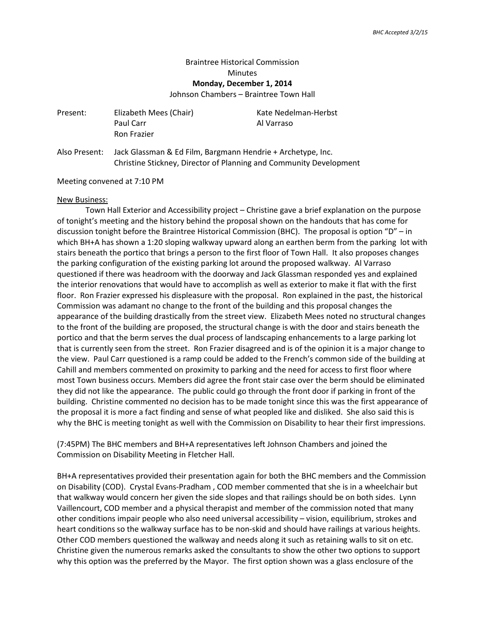## Braintree Historical Commission **Minutes Monday, December 1, 2014**

Johnson Chambers – Braintree Town Hall

| Present: | Elizabeth Mees (Chair)<br>Paul Carr<br><b>Ron Frazier</b> | Kate Nedelman-Herbst<br>Al Varraso |
|----------|-----------------------------------------------------------|------------------------------------|
|          |                                                           |                                    |

Also Present: Jack Glassman & Ed Film, Bargmann Hendrie + Archetype, Inc. Christine Stickney, Director of Planning and Community Development

Meeting convened at 7:10 PM

## New Business:

Town Hall Exterior and Accessibility project – Christine gave a brief explanation on the purpose of tonight's meeting and the history behind the proposal shown on the handouts that has come for discussion tonight before the Braintree Historical Commission (BHC). The proposal is option "D" – in which BH+A has shown a 1:20 sloping walkway upward along an earthen berm from the parking lot with stairs beneath the portico that brings a person to the first floor of Town Hall. It also proposes changes the parking configuration of the existing parking lot around the proposed walkway. Al Varraso questioned if there was headroom with the doorway and Jack Glassman responded yes and explained the interior renovations that would have to accomplish as well as exterior to make it flat with the first floor. Ron Frazier expressed his displeasure with the proposal. Ron explained in the past, the historical Commission was adamant no change to the front of the building and this proposal changes the appearance of the building drastically from the street view. Elizabeth Mees noted no structural changes to the front of the building are proposed, the structural change is with the door and stairs beneath the portico and that the berm serves the dual process of landscaping enhancements to a large parking lot that is currently seen from the street. Ron Frazier disagreed and is of the opinion it is a major change to the view. Paul Carr questioned is a ramp could be added to the French's common side of the building at Cahill and members commented on proximity to parking and the need for access to first floor where most Town business occurs. Members did agree the front stair case over the berm should be eliminated they did not like the appearance. The public could go through the front door if parking in front of the building. Christine commented no decision has to be made tonight since this was the first appearance of the proposal it is more a fact finding and sense of what peopled like and disliked. She also said this is why the BHC is meeting tonight as well with the Commission on Disability to hear their first impressions.

(7:45PM) The BHC members and BH+A representatives left Johnson Chambers and joined the Commission on Disability Meeting in Fletcher Hall.

BH+A representatives provided their presentation again for both the BHC members and the Commission on Disability (COD). Crystal Evans-Pradham , COD member commented that she is in a wheelchair but that walkway would concern her given the side slopes and that railings should be on both sides. Lynn Vaillencourt, COD member and a physical therapist and member of the commission noted that many other conditions impair people who also need universal accessibility – vision, equilibrium, strokes and heart conditions so the walkway surface has to be non-skid and should have railings at various heights. Other COD members questioned the walkway and needs along it such as retaining walls to sit on etc. Christine given the numerous remarks asked the consultants to show the other two options to support why this option was the preferred by the Mayor. The first option shown was a glass enclosure of the